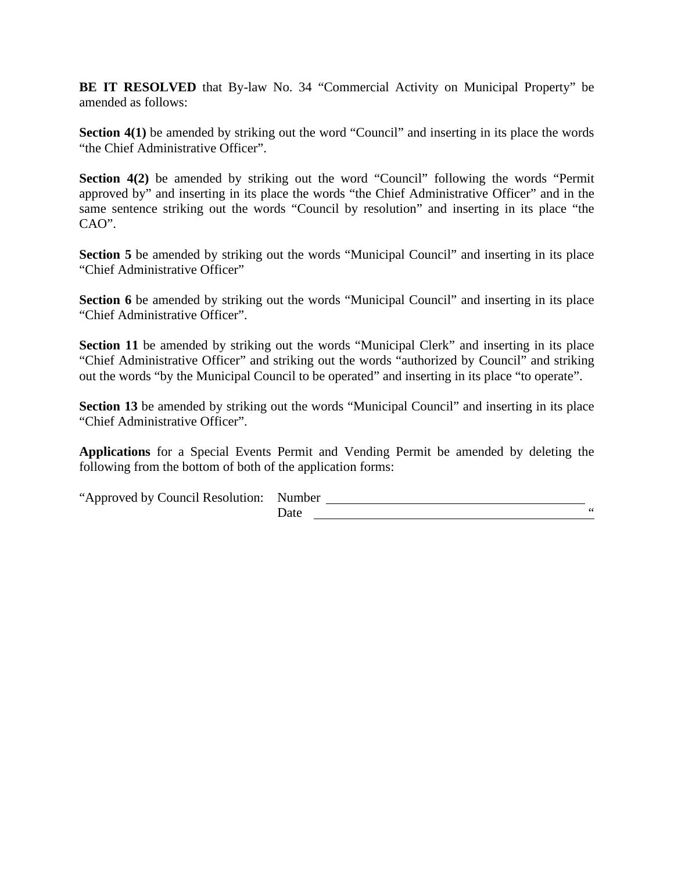**BE IT RESOLVED** that By-law No. 34 "Commercial Activity on Municipal Property" be amended as follows:

**Section 4(1)** be amended by striking out the word "Council" and inserting in its place the words "the Chief Administrative Officer".

**Section 4(2)** be amended by striking out the word "Council" following the words "Permit approved by" and inserting in its place the words "the Chief Administrative Officer" and in the same sentence striking out the words "Council by resolution" and inserting in its place "the CAO".

**Section 5** be amended by striking out the words "Municipal Council" and inserting in its place "Chief Administrative Officer"

**Section 6** be amended by striking out the words "Municipal Council" and inserting in its place "Chief Administrative Officer".

**Section 11** be amended by striking out the words "Municipal Clerk" and inserting in its place "Chief Administrative Officer" and striking out the words "authorized by Council" and striking out the words "by the Municipal Council to be operated" and inserting in its place "to operate".

**Section 13** be amended by striking out the words "Municipal Council" and inserting in its place "Chief Administrative Officer".

**Applications** for a Special Events Permit and Vending Permit be amended by deleting the following from the bottom of both of the application forms:

"Approved by Council Resolution:

| Number    |  |
|-----------|--|
| ∽<br>Date |  |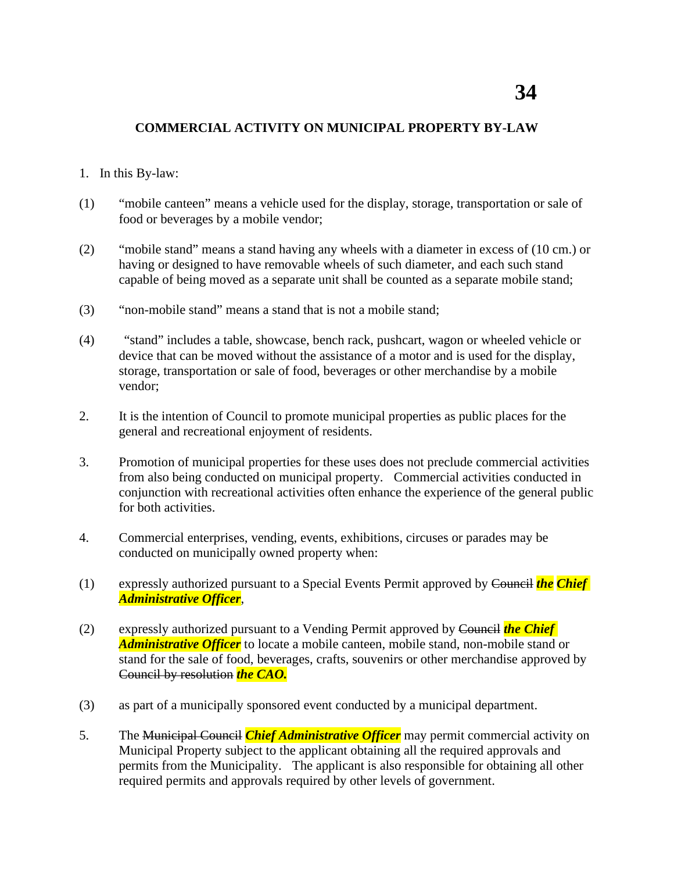## **COMMERCIAL ACTIVITY ON MUNICIPAL PROPERTY BY-LAW**

- 1. In this By-law:
- (1) "mobile canteen" means a vehicle used for the display, storage, transportation or sale of food or beverages by a mobile vendor;
- (2) "mobile stand" means a stand having any wheels with a diameter in excess of (10 cm.) or having or designed to have removable wheels of such diameter, and each such stand capable of being moved as a separate unit shall be counted as a separate mobile stand;
- (3) "non-mobile stand" means a stand that is not a mobile stand;
- (4) "stand" includes a table, showcase, bench rack, pushcart, wagon or wheeled vehicle or device that can be moved without the assistance of a motor and is used for the display, storage, transportation or sale of food, beverages or other merchandise by a mobile vendor;
- 2. It is the intention of Council to promote municipal properties as public places for the general and recreational enjoyment of residents.
- 3. Promotion of municipal properties for these uses does not preclude commercial activities from also being conducted on municipal property. Commercial activities conducted in conjunction with recreational activities often enhance the experience of the general public for both activities.
- 4. Commercial enterprises, vending, events, exhibitions, circuses or parades may be conducted on municipally owned property when:
- (1) expressly authorized pursuant to a Special Events Permit approved by Council *the Chief Administrative Officer*,
- (2) expressly authorized pursuant to a Vending Permit approved by Council *the Chief Administrative Officer* to locate a mobile canteen, mobile stand, non-mobile stand or stand for the sale of food, beverages, crafts, souvenirs or other merchandise approved by Council by resolution *the CAO.*
- (3) as part of a municipally sponsored event conducted by a municipal department.
- 5. The Municipal Council *Chief Administrative Officer* may permit commercial activity on Municipal Property subject to the applicant obtaining all the required approvals and permits from the Municipality. The applicant is also responsible for obtaining all other required permits and approvals required by other levels of government.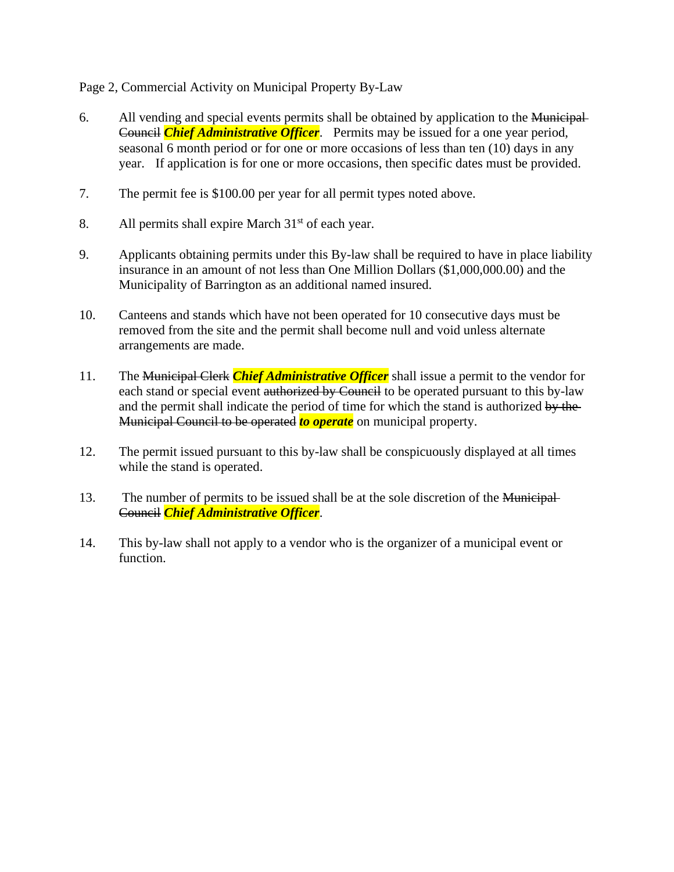Page 2, Commercial Activity on Municipal Property By-Law

- 6. All vending and special events permits shall be obtained by application to the Municipal Council *Chief Administrative Officer*. Permits may be issued for a one year period, seasonal 6 month period or for one or more occasions of less than ten (10) days in any year. If application is for one or more occasions, then specific dates must be provided.
- 7. The permit fee is \$100.00 per year for all permit types noted above.
- 8. All permits shall expire March  $31<sup>st</sup>$  of each year.
- 9. Applicants obtaining permits under this By-law shall be required to have in place liability insurance in an amount of not less than One Million Dollars (\$1,000,000.00) and the Municipality of Barrington as an additional named insured.
- 10. Canteens and stands which have not been operated for 10 consecutive days must be removed from the site and the permit shall become null and void unless alternate arrangements are made.
- 11. The Municipal Clerk *Chief Administrative Officer* shall issue a permit to the vendor for each stand or special event authorized by Council to be operated pursuant to this by-law and the permit shall indicate the period of time for which the stand is authorized by the Municipal Council to be operated *to operate* on municipal property.
- 12. The permit issued pursuant to this by-law shall be conspicuously displayed at all times while the stand is operated.
- 13. The number of permits to be issued shall be at the sole discretion of the Municipal-Council *Chief Administrative Officer*.
- 14. This by-law shall not apply to a vendor who is the organizer of a municipal event or function.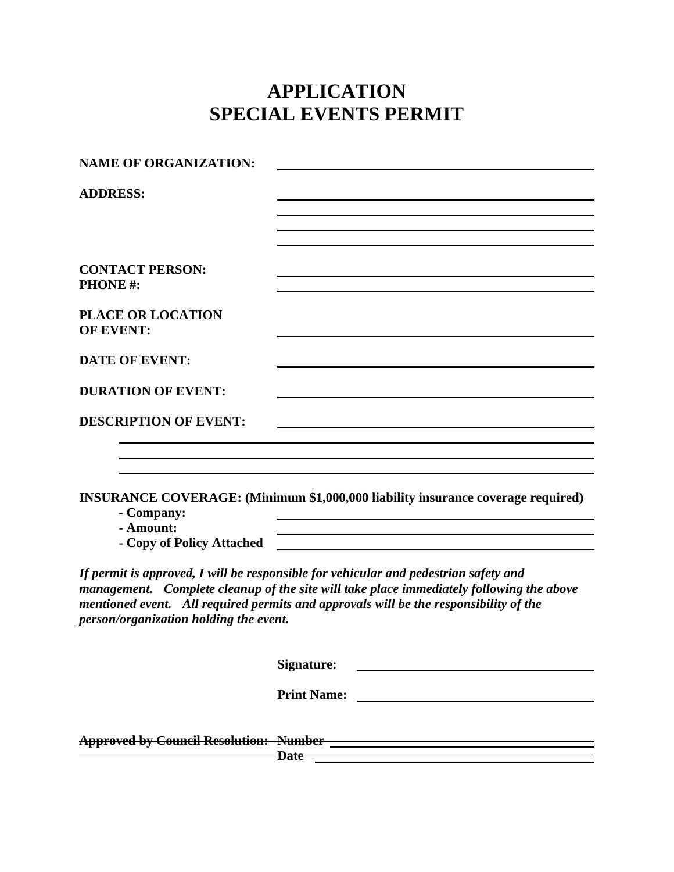## **APPLICATION SPECIAL EVENTS PERMIT**

| <b>NAME OF ORGANIZATION:</b>                 |                                                                                                                                                                                                                                                                           |
|----------------------------------------------|---------------------------------------------------------------------------------------------------------------------------------------------------------------------------------------------------------------------------------------------------------------------------|
| <b>ADDRESS:</b>                              |                                                                                                                                                                                                                                                                           |
|                                              |                                                                                                                                                                                                                                                                           |
|                                              |                                                                                                                                                                                                                                                                           |
|                                              |                                                                                                                                                                                                                                                                           |
| <b>CONTACT PERSON:</b><br><b>PHONE#:</b>     |                                                                                                                                                                                                                                                                           |
|                                              |                                                                                                                                                                                                                                                                           |
| <b>PLACE OR LOCATION</b><br><b>OF EVENT:</b> |                                                                                                                                                                                                                                                                           |
| <b>DATE OF EVENT:</b>                        |                                                                                                                                                                                                                                                                           |
| <b>DURATION OF EVENT:</b>                    |                                                                                                                                                                                                                                                                           |
| <b>DESCRIPTION OF EVENT:</b>                 |                                                                                                                                                                                                                                                                           |
|                                              |                                                                                                                                                                                                                                                                           |
|                                              |                                                                                                                                                                                                                                                                           |
| - Company:<br>- Amount:                      | <b>INSURANCE COVERAGE:</b> (Minimum \$1,000,000 liability insurance coverage required)<br><u> 1980 - Johann Barn, mars an t-Amerikaansk politiker (</u>                                                                                                                   |
| - Copy of Policy Attached                    |                                                                                                                                                                                                                                                                           |
| person/organization holding the event.       | If permit is approved, I will be responsible for vehicular and pedestrian safety and<br>management. Complete cleanup of the site will take place immediately following the above<br>mentioned event. All required permits and approvals will be the responsibility of the |
|                                              | Signature:                                                                                                                                                                                                                                                                |
|                                              | <b>Print Name:</b>                                                                                                                                                                                                                                                        |
|                                              | Date <b>Date Contract Contract Contract Contract Contract Contract Contract Contract Contract Contract Contract Contract Contract Contract Contract Contract Contract Contract Contract Contract Contract Contract Contract Co</b>                                        |